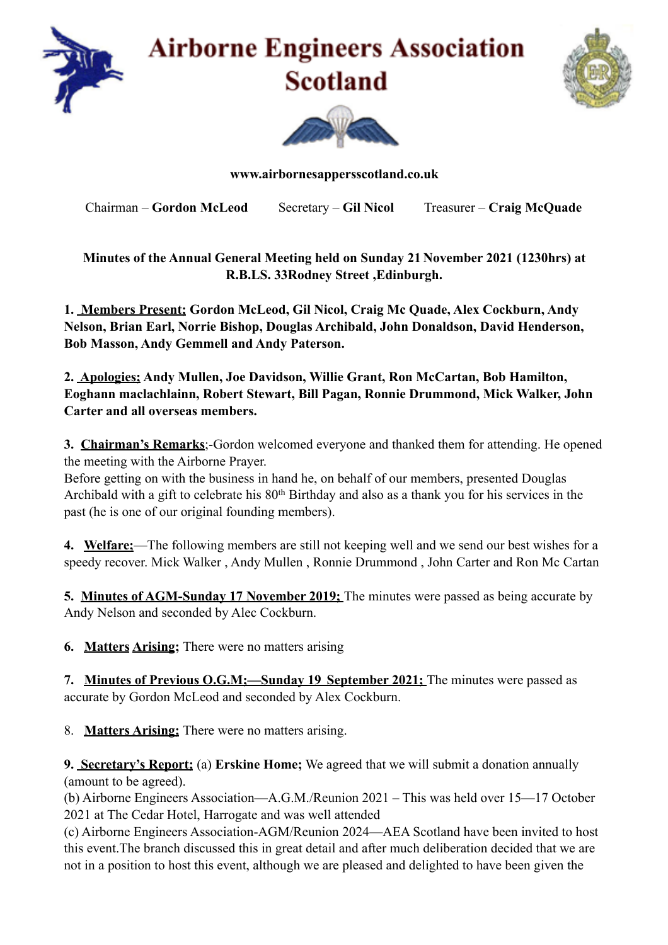





**www.airbornesappersscotland.co.uk** 

Chairman – **Gordon McLeod** Secretary – **Gil Nicol** Treasurer – **Craig McQuade** 

**Minutes of the Annual General Meeting held on Sunday 21 November 2021 (1230hrs) at R.B.LS. 33Rodney Street ,Edinburgh.** 

**1. Members Present; Gordon McLeod, Gil Nicol, Craig Mc Quade, Alex Cockburn, Andy Nelson, Brian Earl, Norrie Bishop, Douglas Archibald, John Donaldson, David Henderson, Bob Masson, Andy Gemmell and Andy Paterson.**

**2. Apologies; Andy Mullen, Joe Davidson, Willie Grant, Ron McCartan, Bob Hamilton, Eoghann maclachlainn, Robert Stewart, Bill Pagan, Ronnie Drummond, Mick Walker, John Carter and all overseas members.**

**3. Chairman's Remarks**;-Gordon welcomed everyone and thanked them for attending. He opened the meeting with the Airborne Prayer.

Before getting on with the business in hand he, on behalf of our members, presented Douglas Archibald with a gift to celebrate his 80th Birthday and also as a thank you for his services in the past (he is one of our original founding members).

**4. Welfare;**—The following members are still not keeping well and we send our best wishes for a speedy recover. Mick Walker , Andy Mullen , Ronnie Drummond , John Carter and Ron Mc Cartan

**5. Minutes of AGM-Sunday 17 November 2019;** The minutes were passed as being accurate by Andy Nelson and seconded by Alec Cockburn.

**6. Matters Arising;** There were no matters arising

**7. Minutes of Previous O.G.M;—Sunday 19 September 2021;** The minutes were passed as accurate by Gordon McLeod and seconded by Alex Cockburn.

8. **Matters Arising;** There were no matters arising.

**9. Secretary's Report;** (a) **Erskine Home;** We agreed that we will submit a donation annually (amount to be agreed).

(b) Airborne Engineers Association—A.G.M./Reunion 2021 – This was held over 15—17 October 2021 at The Cedar Hotel, Harrogate and was well attended

(c) Airborne Engineers Association-AGM/Reunion 2024—AEA Scotland have been invited to host this event.The branch discussed this in great detail and after much deliberation decided that we are not in a position to host this event, although we are pleased and delighted to have been given the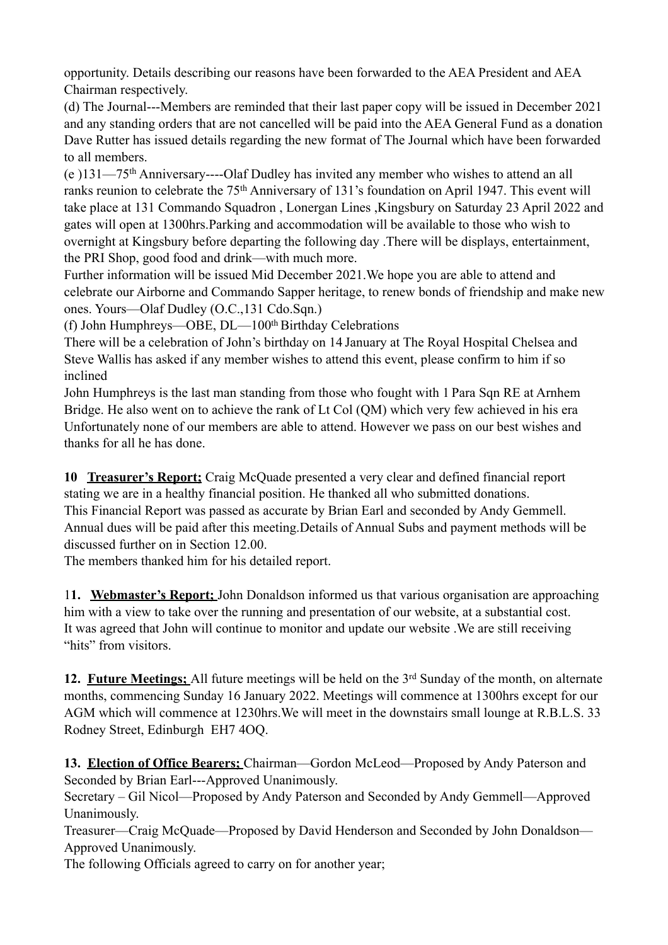opportunity. Details describing our reasons have been forwarded to the AEA President and AEA Chairman respectively.

(d) The Journal---Members are reminded that their last paper copy will be issued in December 2021 and any standing orders that are not cancelled will be paid into the AEA General Fund as a donation Dave Rutter has issued details regarding the new format of The Journal which have been forwarded to all members.

(e )131—75th Anniversary----Olaf Dudley has invited any member who wishes to attend an all ranks reunion to celebrate the 75th Anniversary of 131's foundation on April 1947. This event will take place at 131 Commando Squadron , Lonergan Lines ,Kingsbury on Saturday 23 April 2022 and gates will open at 1300hrs.Parking and accommodation will be available to those who wish to overnight at Kingsbury before departing the following day .There will be displays, entertainment, the PRI Shop, good food and drink—with much more.

Further information will be issued Mid December 2021.We hope you are able to attend and celebrate our Airborne and Commando Sapper heritage, to renew bonds of friendship and make new ones. Yours—Olaf Dudley (O.C.,131 Cdo.Sqn.)

(f) John Humphreys—OBE,  $DL-100<sup>th</sup> Birthday$  Celebrations

There will be a celebration of John's birthday on 14 January at The Royal Hospital Chelsea and Steve Wallis has asked if any member wishes to attend this event, please confirm to him if so inclined

John Humphreys is the last man standing from those who fought with 1 Para Sqn RE at Arnhem Bridge. He also went on to achieve the rank of Lt Col (QM) which very few achieved in his era Unfortunately none of our members are able to attend. However we pass on our best wishes and thanks for all he has done.

**10 Treasurer's Report;** Craig McQuade presented a very clear and defined financial report stating we are in a healthy financial position. He thanked all who submitted donations. This Financial Report was passed as accurate by Brian Earl and seconded by Andy Gemmell. Annual dues will be paid after this meeting.Details of Annual Subs and payment methods will be discussed further on in Section 12.00.

The members thanked him for his detailed report.

1**1. Webmaster's Report;** John Donaldson informed us that various organisation are approaching him with a view to take over the running and presentation of our website, at a substantial cost. It was agreed that John will continue to monitor and update our website .We are still receiving "hits" from visitors.

12. Future Meetings; All future meetings will be held on the 3<sup>rd</sup> Sunday of the month, on alternate months, commencing Sunday 16 January 2022. Meetings will commence at 1300hrs except for our AGM which will commence at 1230hrs.We will meet in the downstairs small lounge at R.B.L.S. 33 Rodney Street, Edinburgh EH7 4OQ.

**13. Election of Office Bearers;** Chairman—Gordon McLeod—Proposed by Andy Paterson and Seconded by Brian Earl---Approved Unanimously.

Secretary – Gil Nicol—Proposed by Andy Paterson and Seconded by Andy Gemmell—Approved Unanimously.

Treasurer—Craig McQuade—Proposed by David Henderson and Seconded by John Donaldson— Approved Unanimously.

The following Officials agreed to carry on for another year;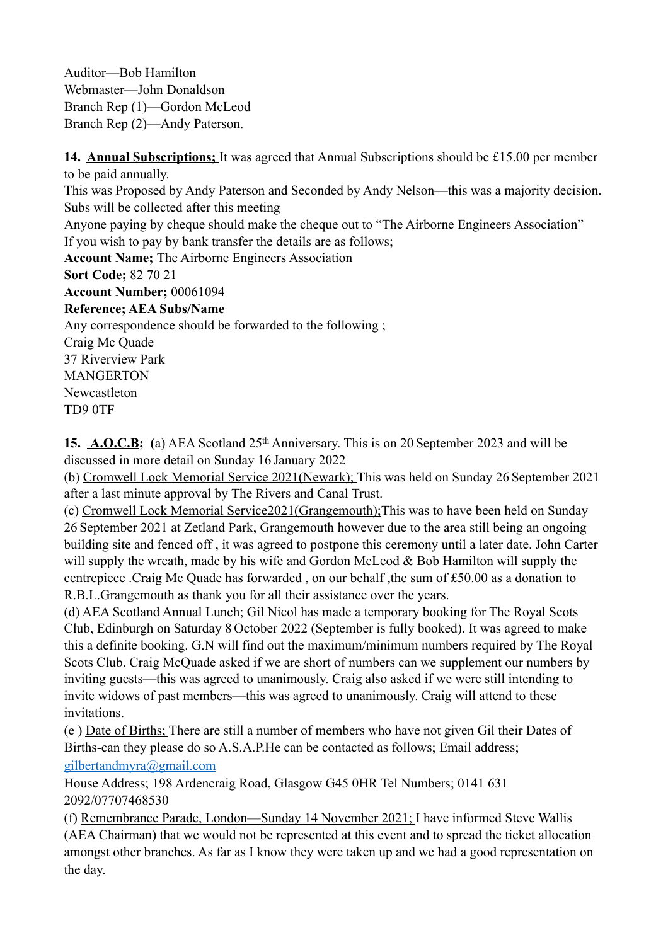Auditor—Bob Hamilton Webmaster—John Donaldson Branch Rep (1)—Gordon McLeod Branch Rep (2)—Andy Paterson.

**14. Annual Subscriptions;** It was agreed that Annual Subscriptions should be £15.00 per member to be paid annually. This was Proposed by Andy Paterson and Seconded by Andy Nelson—this was a majority decision. Subs will be collected after this meeting Anyone paying by cheque should make the cheque out to "The Airborne Engineers Association" If you wish to pay by bank transfer the details are as follows; **Account Name;** The Airborne Engineers Association **Sort Code;** 82 70 21 **Account Number;** 00061094 **Reference; AEA Subs/Name**  Any correspondence should be forwarded to the following ; Craig Mc Quade 37 Riverview Park MANGERTON Newcastleton TD9 0TF

**15. A.O.C.B; (**a) AEA Scotland 25th Anniversary. This is on 20 September 2023 and will be discussed in more detail on Sunday 16 January 2022

(b) Cromwell Lock Memorial Service 2021(Newark); This was held on Sunday 26 September 2021 after a last minute approval by The Rivers and Canal Trust.

(c) Cromwell Lock Memorial Service2021(Grangemouth);This was to have been held on Sunday 26 September 2021 at Zetland Park, Grangemouth however due to the area still being an ongoing building site and fenced off , it was agreed to postpone this ceremony until a later date. John Carter will supply the wreath, made by his wife and Gordon McLeod  $&$  Bob Hamilton will supply the centrepiece .Craig Mc Quade has forwarded , on our behalf ,the sum of £50.00 as a donation to R.B.L.Grangemouth as thank you for all their assistance over the years.

(d) AEA Scotland Annual Lunch; Gil Nicol has made a temporary booking for The Royal Scots Club, Edinburgh on Saturday 8 October 2022 (September is fully booked). It was agreed to make this a definite booking. G.N will find out the maximum/minimum numbers required by The Royal Scots Club. Craig McQuade asked if we are short of numbers can we supplement our numbers by inviting guests—this was agreed to unanimously. Craig also asked if we were still intending to invite widows of past members—this was agreed to unanimously. Craig will attend to these invitations.

(e ) Date of Births; There are still a number of members who have not given Gil their Dates of Births-can they please do so A.S.A.P.He can be contacted as follows; Email address; [gilbertandmyra@gmail.com](mailto:gilbertandmyra@gmail.com)

House Address; 198 Ardencraig Road, Glasgow G45 0HR Tel Numbers; 0141 631 2092/07707468530

(f) Remembrance Parade, London—Sunday 14 November 2021; I have informed Steve Wallis (AEA Chairman) that we would not be represented at this event and to spread the ticket allocation amongst other branches. As far as I know they were taken up and we had a good representation on the day.